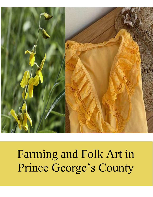

# Farming and Folk Art in Prince George's County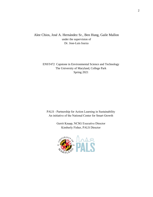Alee Chios, José A. Hernández Sr., Ben Hung, Gaile Mallon under the supervision of Dr. Jose-Luis Isurza

> ENST472 Capstone in Environmental Science and Technology The University of Maryland, College Park Spring 2021

PALS - Partnership for Action Learning in Sustainability An initiative of the National Center for Smart Growth

> Gerrit Knaap, NCSG Executive Director Kimberly Fisher, PALS Director

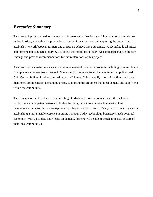## *Executive Summary*

This research project aimed to connect local farmers and artists by identifying common materials used by local artists, evaluating the production capacity of local farmers, and exploring the potential to establish a network between farmers and artists. To achieve these outcomes, we identified local artists and farmers and conducted interviews to assess their opinions. Finally, we summarize our preliminary findings and provide recommendations for future iterations of this project.

As a result of successful interviews, we became aware of local farm products, including dyes and fibers from plants and others from livestock. Some specific items we found include Sunn Hemp, Flaxseed, Coir, Cotton, Indigo, Sorghum, and Alpacas and Llamas. Coincidentally, most of the fibers and dyes mentioned are in constant demand by artists, supporting the argument that local demand and supply exist within the community.

The principal obstacle to the efficient meeting of artists and farmers populations is the lack of a productive and competent network to bridge the two groups into a more active market. One recommendation is for farmers to explore crops that are easier to grow in Maryland's climate, as well as establishing a more visible presence in online markets. Today, technology businesses reach potential customers. With up-to-date knowledge on demand, farmers will be able to reach almost all sectors of their local communities.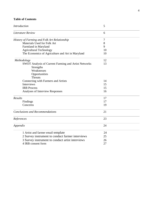## **Table of Contents**

| <b>Introduction</b>                                         | 5<br>6 |  |
|-------------------------------------------------------------|--------|--|
| <b>Literature Review</b>                                    |        |  |
| History of Farming and Folk Art Relationship                | $\tau$ |  |
| Materials Used for Folk Art                                 | 8      |  |
| Farmland in Maryland                                        | 9      |  |
| <b>Agricultural Technology</b>                              | 10     |  |
| The Economics of Agriculture and Art in Maryland            | 10     |  |
| Methodology                                                 | 12     |  |
| <b>SWOT Analysis of Current Farming and Artist Networks</b> | 13     |  |
| Strengths                                                   |        |  |
| Weaknesses                                                  |        |  |
| Opportunities                                               |        |  |
| <b>Threats</b>                                              |        |  |
| Connecting with Farmers and Artists                         | 14     |  |
| Interviews                                                  | 15     |  |
| <b>IRB</b> Process                                          | 15     |  |
| Analyses of Interview Responses                             | 16     |  |
| Results                                                     | 17     |  |
| Findings                                                    | 17     |  |
| Concerns                                                    | 19     |  |
| <b>Conclusions and Recommendations</b>                      | 21     |  |
| References                                                  | 23     |  |
| Appendix                                                    | 24     |  |
| 1 Artist and farmer email template                          | 24     |  |
| 2 Survey instrument to conduct farmer interviews            | 25     |  |
| 3 Survey instrument to conduct artist interviews            | 26     |  |
| 4 IRB consent form                                          | 27     |  |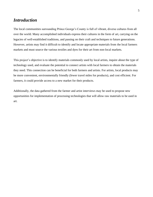## *Introduction*

The local communities surrounding Prince George's County is full of vibrant, diverse cultures from all over the world. Many accomplished individuals express their cultures in the form of art, carrying on the legacies of well-established traditions, and passing on their craft and techniques to future generations. However, artists may find it difficult to identify and locate appropriate materials from the local farmers markets and must source the various textiles and dyes for their art from non-local markets.

This project's objective is to identify materials commonly used by local artists, inquire about the type of technology used, and evaluate the potential to connect artists with local farmers to obtain the materials they need. This connection can be beneficial for both farmers and artists. For artists, local products may be more convenient, environmentally friendly (fewer travel miles for products), and cost efficient. For farmers, it could provide access to a new market for their products.

Additionally, the data gathered from the farmer and artist interviews may be used to propose new opportunities for implementation of processing technologies that will allow raw materials to be used in art.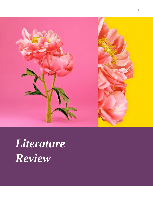

# *Literature Review*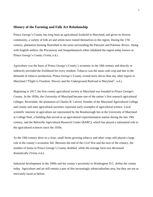#### **History of the Farming and Folk Art Relationship**

Prince George's County has long been an agricultural foothold in Maryland, and given its diverse community, a variety of folk art and artists have rooted themselves in the region. During the 17th century, plantation farming flourished in the areas surrounding the Patuxent and Potomac Rivers. Along with English settlers, the Piscataway and Susquehannock tribes inhabited the region today known as Prince George's County (Verta, n.d.).

Agriculture was the basis of Prince George's County's economy in the 18th century and directly or indirectly provided the livelihood for every resident. Tobacco was the main cash crop and due to the demands of tobacco production, Prince George's County owned more slaves than any other region in Maryland ("Flight to Freedom: Slavery and the Underground Railroad in Maryland", n.d.).

Beginning in 1817, the first county agricultural society in Maryland was founded in Prince George's County. In the 1850s, the University of Maryland became one of the nation's first research agricultural colleges. Riversdale, the plantation of Charles B. Calvert, founder of the Maryland Agricultural College and county and state agricultural societies, represent early examples of agricultural science. Local scientific interests in agriculture are represented by the Rossborough Inn at the University of Maryland at College Park, a building that served as an agricultural experimentation station during the late 19th century, and the Beltsville Agricultural Research Center (BARC), which has played a substantial role in the agricultural sciences since the 1930s.

As the 19th century drew to a close, small farms growing tobacco and other crops still played a large role in the county's economic life. Between the end of the Civil War and the turn of the century, the number of farms in Prince George's County doubled, while the average farm size decreased dramatically (Verta, n.d.).

Industrial development in the 1900s and the county's proximity to Washington D.C. define the county today. Agriculture and art still remain a part of this increasingly urban/suburban area, but they are not as intricately laced as before.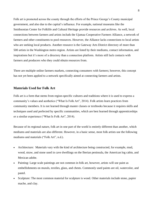Folk art is promoted across the county through the efforts of the Prince George's County municipal government, and also due to the capital's influence. For example, national museums like the Smithsonian Center for Folklife and Cultural Heritage provide resources and archives. As well, local connections between farmers and artists includs the Ujamaa Cooperative Farmers Alliance, a network of farmers and other constituents to pool resources. However, the Alliance lacks connections to local artists who are seeking local products. Another resource is the Gateway Arts District directory of more than 500 artists in the Washington metro region. Artists are listed by their mediums, contact information, and inspirations but it's more of a directory than a connection platform. Artists still lack contacts with farmers and producers who they could obtain resources from.

There are multiple online farmers markets, connecting consumers with farmers; however, this concept has not yet been applied to a network specifically aimed at connecting farmers and artists.

#### **Materials Used for Folk Art**

Folk art is a form that stems from region-specific cultures and traditions where it is used to express a community's values and aesthetics ("What Is Folk Art", 2014). Folk artists learn practices from community members. It is not learned through master classes or textbooks because it requires skills and techniques used and perfected by specific communities, which are best learned through apprenticeships or a similar experience ("What Is Folk Art", 2014).

Because of its regional nature, folk art in one part of the world is entirely different than another, which mediums and materials are also different. However, in a basic sense, most folk artists use the following mediums and materials ("Folk Art", n.d.).

- Architecture: Materials vary with the kind of architecture being constructed, for example, mud, wood, straw, and stone used in cave dwellings on the Iberian peninsula, the American log cabin, and Mexican adobe.
- Painting: Large scale paintings are not common in folk art, however, artists will use paint as embellishments on murals, textiles, glass, and chests. Commonly used paints are oil, watercolor, and pastel.
- Sculpture: The most common material for sculpture is wood. Other materials include stone, papier mache, and clay.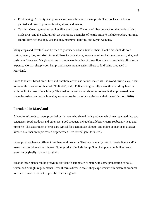- Printmaking: Artists typically use carved wood blocks to make prints. The blocks are inked or painted and used to print on fabrics, signs, and games.
- Textiles: Creating textiles requires fibers and dyes. The type of fiber depends on the product being made artist and the cultural folk art traditions. Examples of textile artwork include crochet, knitting, embroidery, felt making, lace making, macrame, quilting, and carpet weaving.

Many crops and livestock can be used to produce workable textile fibers. Plant fibers include coir, cotton, hemp, flax, and sisal. Animal fibers include alpaca, angora wool, mohair, merino wool, silk, and cashmere. However, Maryland farms in produce only a few of those fibers due to unsuitable climates or expense. Mohair, sheep wool, hemp, and alpaca are the easiest fibers to find being produced in Maryland.

Since folk art is based on culture and tradition, artists use natural materials like wood, straw, clay, fibers to honor the location of their art ("Folk Art", n.d.). Folk artists generally make their work by hand or with the limited use of machinery. This makes natural materials easier to handle than processed ones since the artists can decide how they want to use the materials entirely on their own (Harmon, 2010).

#### **Farmland in Maryland**

A handful of products were provided by farmers who shared their produce, which we separated into two categories, food products and other use. Food products include huckleberry, corn, soybean, wheat, and turmeric. This assortment of crops are typical for a temperate climate, and might appear in an average kitchen as either an unprocessed or processed item (bread, jam, tofu, etc.).

Other products have a different use than food products. They are primarily used to create fibers and/or extract a color pigment textile use. Other products include hemp, Sunn hemp, cotton, indigo, beets, green herbs (basil), flax and sorghum.

Most of these plants can be grown in Maryland's temperate climate with some preparation of soils, water, and sunlight requirements. Even if farms differ in scale, they experiment with different products to reach as wide a market as possible for their goods.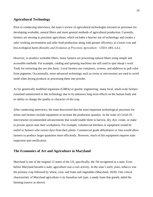#### **Agricultural Technology**

Prior to conducting interviews, the team's review of agricultural technologies focused on processes for developing workable, natural fibers and more general methods of agricultural production. Currently, farmers are moving to precision agriculture, which includes a heavier use of technology and creates a safer working environment and safer food production along with greater efficiency at a lower cost and less ecological harm (*Benefits and Evolution of Precision Agriculture : USDA ARS*, n.d.).

However, to produce workable fibers, many farmers are processing natural fibers using simple and accessible methods. For example, carding and spinning machines are still used to spin sheep's wool. Tools for extracting dye are also basic. Local farmers use containers, screens, and additives to pull color from pigments. Occasionally, more advanced technology such as ovens or microwaves are used to avoid mold when drying products or processing them into powder.

As for genetically modified organisms (GMOs) or genetic engineering, many local, small-scale farmers remained uninterested in this technology due to its unknown long-term effects on the human body and its ability to change the quality or character of the crop.

After conducting interviews, the team discovered that the most important technological processes for artists and farmers include equipment to increase the production quantity. In the wake of Covid-19, interviewees recommended advancements that would enable them to harvest, dry, dye, create, or make in private spaces near their workplaces. For example, commercial kitchens or equipment would be useful to farmers who extract dyes from their plants. Commercial grade dehydrators or fans would allow farmers to produce larger quantities more efficiently. However, much of this equipment requires state inspection and certification.

## **The Economics of Art and Agriculture in Maryland**

Maryland is one of the original 13 states of the US, specifically, the 7th recognized as a state. Even before Maryland became a state, agriculture was a core activity. In the state's early years, tobacco was the primary crop followed by wheat, corn, and fruits and vegetables (Maryland, 2020). One critical characteristic of Maryland agriculture is its Sassafras soil type, a sandy loam that greatly aided the farming (source as above).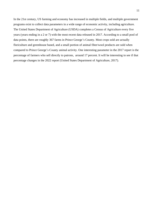In the 21st century, US farming and economy has increased in multiple fields, and multiple government programs exist to collect data parameters in a wide range of economic activity, including agriculture. The United States Department of Agriculture (USDA) completes a Census of Agriculture every five years (years ending in a 2 or 7) with the most recent data released in 2017. According to a small pool of data points, there are roughly 367 farms in Prince George's County. Most crops sold are actually floriculture and greenhouse based, and a small portion of animal fiber/wool products are sold when compared to Prince George's County animal activity. One interesting parameter in the 2017 report is the percentage of farmers who sell directly to patrons, around 17 percent. It will be interesting to see if that percentage changes in the 2022 report (United States Department of Agriculture, 2017).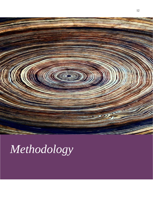

## *Methodology*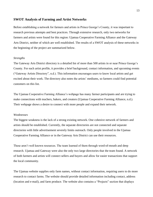#### **SWOT Analysis of Farming and Artist Networks**

Before establishing a network for farmers and artists in Prince George's County, it was important to research previous attempts and best practices. Through extensive research, only two networks for farmers and artists were found for this region: Ujamaa Cooperative Farming Alliance and the Gateway Arts District, neither of which are well established. The results of a SWOT analysis of these networks in the beginning of the project are summarized below.

#### *Strengths*

The Gateway Arts District directory is a detailed list of more than 500 artists in or near Prince George's County. For each artist profile, it provides a brief background, contact information, and upcoming events ("Gateway Artists Directory", n.d.). This information encourages users to know local artists and get excited about their work. The directory also notes the artists' mediums, so farmers could find potential customers on this list.

The Ujamaa Cooperative Farming Alliance's webpage has many farmer participants and are trying to make connections with teachers, bakers, and creators (Ujamaa Cooperative Farming Alliance, n.d.). Their webpage shows a desire to connect with more people and expand their network.

#### *Weaknesses*

The biggest weakness is the lack of a strong existing network. One cohesive network of farmers and artists should be established. Currently, the separate directories are not connected and separate directories with little advertisement severely limits outreach. Only people involved in the Ujamaa Cooperative Farming Alliance or in the Gateway Arts District can use their resources.

These aren't well known resources. The team learned of them through word-of-mouth and deep research. Ujamaa and Gateway were also the only two large directories that the team found. A network of both farmers and artists will connect sellers and buyers and allow for easier transactions that support the local community.

The Ujamaa website supplies only farm names, without contact information, requiring users to do more research to contact farms. The website should provide detailed information including contact, address (location and e-mail), and farm produce. The website also contains a "Projects" section that displays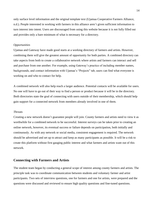only surface level information and the original template text (Ujamaa Cooperative Farmers Alliance, n.d.). People interested in working with farmers in this alliance aren't given sufficient information to turn interest into intent. Users are discouraged from using this website because it is not fully filled out and provides only a bare minimum of what is necessary for a directory.

#### *Opportunities*

Ujamaa and Gateway have made good starts at a working directory of farmers and artists. However, combining them will give the greatest amount of opportunity for both parties. A combined directory can take aspects from both to create a collaborative network where artists and farmers can interact and sell and purchase from one another. For example, using Gateway's practice of including member names, backgrounds, and contact information with Ujamaa's "Projects" tab, users can find what everyone is working on and who to contact for help.

A combined network will also help reach a larger audience. Potential contacts will be available for users. No one will have to go out of their way to find a person or product because it will be in the directory. Both directories state the goal of connecting with users outside of their membership, which should help gain support for a connected network from members already involved in one of them.

#### *Threats*

Creating a new network doesn't guarantee people will join. County farmers and artists need to view it as worthwhile for a combined network to be successful. Interest surveys can be taken prior to creating an online network, however, its eventual success or failure depends on participation, both initially and continuously. As with any network or social media, consistent engagement is required. The network should be advertised and set up to attract and keep as many participants as possible. It will be a risk to create this platform without first gauging public interest and what farmers and artists want out of this network.

#### **Connecting with Farmers and Artists**

The student team began by conducting a general scope of interest among county farmers and artists. The principle task was to coordinate communication between students and voluntary farmer and artist participants. Two sets of interview questions, one for farmers and one for artists, were prepared and the questions were discussed and reviewed to ensure high quality questions and fine-tuned questions.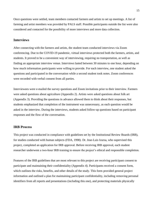Once questions were settled, team members contacted farmers and artists to set up meetings. A list of farming and artist members was provided by PALS staff. Possible participants outside the list were also considered and contacted for the possibility of more interviews and more data collection.

#### **Interviews**

After connecting with the farmers and artists, the student team conducted interviews via Zoom conferencing. Due to the COVID-19 pandemic, virtual interviews protected both the farmers, artists, and students. It proved to be a convenient way of interviewing, requiring no transportation, as well as finding an appropriate interview venue. Interviews lasted between 30 minutes to one hour, depending on how much information participants were willing to provide. For each interview, one student asked the questions and participated in the conversation while a second student took notes. Zoom conferences were recorded with verbal consent from all parties.

Interviewees were e-mailed the survey questions and Zoom invitations prior to their interview. Farmers were asked questions about agriculture (Appendix 2). Artists were asked questions about folk art (Appendix 3). Providing the questions in advance allowed them to think about their responses, but students emphasized that completion of the instrument was unnecessary, as each question would be asked in the interview. During the interviews, students asked follow-up questions based on participant responses and the flow of the conversation.

#### **IRB Process**

This project was conducted in compliance with guidelines set by the Institutional Review Boards (IRB), for studies conducted with human subjects (FDA, 1998). Dr. Jose-Luis Izursa, who supervised this project, completed an application for IRB approval. Before receiving IRB approval, each student researcher underwent a two-hour IRB training to ensure the project's ethical and responsible completion.

Features of the IRB guidelines that are most relevant to this project are receiving participant consent to participate and maintaining their confidentiality (Appendix 4). Participants received a consent form, which outlines the risks, benefits, and other details of the study. This form provided general project information and outlined a plan for maintaining participant confidentiality, including removing personal identifiers from all reports and presentations (including this one), and protecting materials physically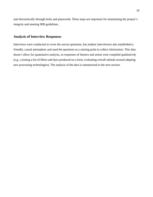and electronically through locks and passwords. These steps are important for maintaining the project's integrity and meeting IRB guidelines.

## **Analysis of Interview Responses**

Interviews were conducted to cover the survey questions, but student interviewers also established a friendly, casual atmosphere and used the questions as a starting point to collect information. This data doesn't allow for quantitative analysis, so responses of farmers and artists were compiled qualitatively (e.g., creating a list of fibers and dyes produced on a farm, evaluating overall attitude around adapting new processing technologies). The analysis of the data is summarized in the next section.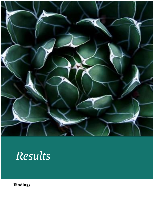

## *Results*

**Findings**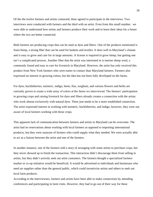Of the the twelve farmers and artists contacted, three agreed to participate in the interviews. Two interviews were conducted with farmers and the third with an artist. Even from this small number, we were able to understand how artists and farmers produce their work and to learn their ideas for a future where the two are better connected.

Both farmers are producing crops that can be used as dyes and fibers. One of the products mentioned is Sunn hemp, a strong fiber that can be used for baskets and textiles. It does well in Maryland's climate and is easy to grow and care for in large amounts. A license is required to grow hemp, but getting one isn't a complicated process. Another fiber that the artist was interested in is merino sheep wool, a commonly found and easy to care for livestock in Maryland. However, the artist has only received this product from New York farmers who were easier to contact than Maryland farmers. Farmers also expressed an interest in growing cotton, but the idea has not been fully developed on the farms.

For dyes, huckleberries, turmeric, indigo, beets, flax, sorghum, and various flowers and herbs are currently grown to create a wide array of colors at the farms we interviewed. The farmers' participation in growing crops and raising livestock for dyes and fibers already creates a connection with the artists who work almost exclusively with natural dyes. There just needs to be a more established connection. The artist expressed interest in working with turmeric, huckleberries, and indigo, however, they were not aware of local farmers working with those crops.

This apparent lack of communication between farmers and artists in Maryland can be overcome. The artist had no reservations about working with local farmers as opposed to importing international products, but they were unaware of farmers who could supply what they needed. We were actually able to act as a liaison between the artist and one of the farmers.

In another instance, one of the farmers told a story of arranging with some artists to purchase crops, but they never showed up to finish the transaction. This interaction didn't discourage them from selling to artists, but they didn't actively seek out artist customers. The farmers thought a specialized farmers market or co-op initiative would be beneficial. It would be advertised to individuals and businesses who need art supplies rather than the general public, which could incentivize artists and others to seek out local farm products.

According to the interviewees, farmers and artists have been able to make connections by attending conferences and participating in farm visits. However, they had to go out of their way for these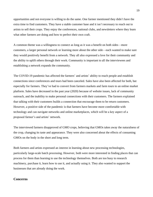opportunities and not everyone is willing to do the same. One farmer mentioned they didn't have the extra time to find customers. They have a stable customer base and it isn't necessary to reach out to artists to sell their crops. They enjoy the conferences, national clubs, and newsletters where they learn what other farmers are doing and how to perfect their own craft.

A common theme was a willingness to connect as long as it was a benefit on both sides—more customers, a larger personal network or learning more about the other side—each wanted to make sure they would positively benefit from a network. They all also expressed a love for their community and the ability to uplift others through their work. Community is important to all the interviewees and establishing a network expands the community.

The COVID-19 pandemic has affected the farmers' and artists' ability to reach people and establish connections since conferences and tours had been canceled. Sales have also been affected for both, but especially for farmers. They've had to convert from farmers markets and farm tours to an online market platform. Sales have decreased in the past year (2020) because of website issues, lack of community outreach, and the inability to make personal connections with their customers. The farmers explained that talking with their customers builds a connection that encourage them to be return customers. However, a positive side of the pandemic is that farmers have become more comfortable with technology and can navigate networks and online marketplaces, which will be a key aspect of a proposed farmer's and artists' network.

The interviewed farmers disapproved of GMO crops, believing that GMOs takes away the naturalness of the crop, changing its taste and appearance. They were also concerned about the effects of consuming GMOs on the body in the short and long term.

Both farmers and artists expressed an interest in learning about new processing technologies, particularly large-scale batch processing. However, both were more interested in finding places that can process for them than learning to use the technology themselves. Both are too busy to research machinery, purchase it, learn how to use it, and actually using it. They also wanted to support the businesses that are already doing the work.

#### **Concerns**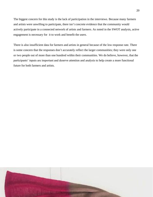The biggest concern for this study is the lack of participation in the interviews. Because many farmers and artists were unwilling to participate, there isn't concrete evidence that the community would actively participate in a connected network of artists and farmers. As noted in the SWOT analysis, active engagement is necessary for it to work and benefit the users.

There is also insufficient data for farmers and artists in general because of the low response rate. There is some concern that the responses don't accurately reflect the larger communities; they were only one or two people out of more than one hundred within their communities. We do believe, however, that the participants' inputs are important and deserve attention and analysis to help create a more functional future for both farmers and artists.

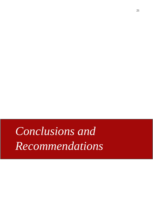# *Conclusions and Recommendations*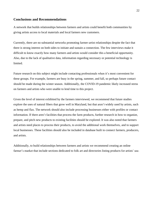#### **Conclusions and Recommendations**

A network that builds relationships between farmers and artists could benefit both communities by giving artists access to local materials and local farmers new customers.

Currently, there are no substantial networks promoting farmer-artist relationships despite the fact that there is strong interest on both sides to initiate and sustain a connection. The few interviews make it difficult to know exactly how many farmers and artists would consider this a beneficial opportunity. Also, due to the lack of qualitative data, information regarding necessary or potential technology is limited.

Future research on this subject might include contacting professionals when it's most convenient for these groups. For example, farmers are busy in the spring, summer, and fall, so perhaps future contact should be made during the winter season. Additionally, the COVID-19 pandemic likely increased stress on farmers and artists who were unable to lend time to this project.

Given the level of interest exhibited by the farmers interviewed, we recommend that future studies explore the uses of natural fibers that grow well in Maryland, but that aren't widely used by artists, such as hemp and flax. The network should also include processing businesses either with profiles or contact information. If there aren't facilities that process the farm products, further research in how to organize, prepare, and pitch new products to existing facilities should be explored. It was also noted that farmers and artists need places to process their products, to avoid the additional work themselves, and to support local businesses. These facilities should also be included in database built to connect farmers, producers, and artists.

Additionally, to build relationships between farmers and artists we recommend creating an online farmer's market that include sections dedicated to folk art and directories listing products for artists' use.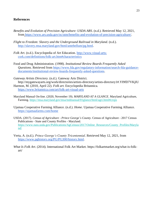## **References**

- *Benefits and Evolution of Precision Agriculture: USDA ARS*. (n.d.). Retrieved May 12, 2021, from [https://www.ars.usda.gov/oc/utm/benefits-and-evolution-of-precision-agriculture/.](https://www.ars.usda.gov/oc/utm/benefits-and-evolution-of-precision-agriculture/)
- *Flight to Freedom: Slavery and the Underground Railroad in Maryland*. (n.d.). <http://slavery.msa.maryland.gov/html/antebellum/pg.html.>
- *Folk Art.* (n.d.). Encyclopedia of Art Education. [http://www.visual-arts](http://www.visual-arts-cork.com/definitions/folk-art.htm#characteristics)[cork.com/definitions/folk-art.htm#characteristics](http://www.visual-arts-cork.com/definitions/folk-art.htm#characteristics)
- Food and Drug Administration. (1998). *Institutional Review Boards Frequently Asked Questions*. Retrieved from [https://www.fda.gov/regulatory-information/search-fda-guidance](https://www.fda.gov/regulatory-information/search-fda-guidance-documents/institutional-review-boards-frequently-asked-questions)[documents/institutional-review-boards-frequently-asked-questions.](https://www.fda.gov/regulatory-information/search-fda-guidance-documents/institutional-review-boards-frequently-asked-questions)
- *Gateway Artists Directory.* (n.d.). Gateway Arts District. http://mygatewayarts.org/work/directories/artists-directory/artists-directory1#.YI9fD7VKjIU Harmon, M. (2010, April 22). *Folk art.* Encyclopedia Britannica*.*  <https://www.britannica.com/art/folk-art-visual-arts>
- Maryland Manual On-line. (2020, November 19). *MARYLAND AT A GLANCE*. Maryland Agriculture, Farming.<https://msa.maryland.gov/msa/mdmanual/01glance/html/agri.html#crops>
- Ujamaa Cooperative Farming Alliance. (n.d.). *Home.* Ujamaa Cooperative Farming Alliance. <https://ujamaafarms.com/home>
- USDA. (2017). *Census of Agriculture - Prince George´s County*. Census of Agriculture 2017 Census Publications - State and County Profiles - Maryland. [https://www.nass.usda.gov/Publications/AgCensus/2017/Online\\_Resources/County\\_Profiles/Maryla](https://www.nass.usda.gov/Publications/AgCensus/2017/Online_Resources/County_Profiles/Maryland/) [nd/](https://www.nass.usda.gov/Publications/AgCensus/2017/Online_Resources/County_Profiles/Maryland/)
- Verta, A. (n.d.). *Prince George's County Tricentennial*. Retrieved May 12, 2021, fro[m](https://www.pghistory.org/PG/PG300/history.html) [https://www.pghistory.org/PG/PG300/history.html.](https://www.pghistory.org/PG/PG300/history.html)
- *What Is Folk Art*. (2014). International Folk Art Market. https://folkartmarket.org/what-is-folkart/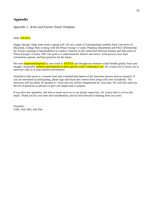## **Appendix**

#### *Appendix 1. Artist and Farmer Email Template*

#### Hello **XXXXX**,

Happy Spring! I hope your week is going well. We are a team of Undergraduate students from University of Maryland, College Park working with the Prince George's County Planning Department and PALS (Partnership for Action Learning in Sustainability) to conduct research on the connection between farmers and folk artists in Prince George's County, MD. Our goal is to understand the farmers and artists' work process, how their connections operate, and best practices for the future.

We were **impressed/inspired** by your work in **XXXXX** and thought our research would benefit greatly from your insights. Especially, sentence personalized to their specific work of farming or art. We would love to invite you to interview with us at your earliest convenience!

Attached to this email is a consent form and a detailed description of the interview process and our research. If you are interested in participating, please sign and return the consent form along with your availability. The interview will last about 30 minutes to 1 hour and you will be compensated for your time. We will also send you the list of questions in advance to give you ample time to prepare.

If you have any questions, feel free to reach out to us or our faculty supervisor, Dr. Izursa who is cc'd on this email. Thank you for your time and consideration, and we look forward to hearing from you soon!

Sincerely, Gaile, José, Ben, and Alee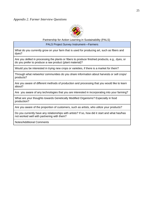

Partnership for Action Learning in Sustainability (PALS)

PALS Project Survey Instrument—Farmers

What do you currently grow on your farm that is used for producing art, such as fibers and dyes?

Are you skilled in processing the plants or fibers to produce finished products, e.g., dyes, or do you prefer to produce a raw product (plant material)?

Would you be interested in trying new crops or varieties, if there is a market for them?

Through what networks/ communities do you share information about harvests or sell crops/ products?

Are you aware of different methods of production and processing that you would like to learn about?

Are you aware of any technologies that you are interested in incorporating into your farming?

What are your thoughts towards Genetically Modified Organisms? Especially in food production?

Are you aware of the proportion of customers, such as artists, who utilize your products?

Do you currently have any relationships with artists? If so, how did it start and what has/has not worked well with partnering with them?

Notes/Additional Comments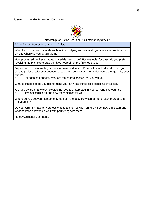

Partnership for Action Learning in Sustainability (PALS)

PALS Project Survey Instrument -- Artists

What kind of natural materials such as fibers, dyes, and plants do you currently use for your art and where do you obtain them?

How processed do these natural materials need to be? For example, for dyes, do you prefer receiving the plants to create the dyes yourself, or the finished dyes?

Depending on the material, product, or item, and its significance in the final product, do you always prefer quality over quantity, or are there components for which you prefer quantity over quality?

a. For each component, what are the characteristics that you value?

What technologies do you use to make your art? (machines for processing dyes, etc.)

Are you aware of any technologies that you are interested in incorporating into your art? a. How accessible are the new technologies for you?

Where do you get your component, natural materials? How can farmers reach more artists like yourself?

Do you currently have any professional relationships with farmers? If so, how did it start and what has/has not worked well with partnering with them

Notes/Additional Comments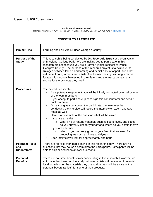#### **Institutional Review Board**

1204 Marie Mount Hall ● 7814 Regents Drive ● College Park, MD 20742 ● 301-405-4212 ● irb@umd.edu

| <b>Project Title</b>                                | Farming and Folk Art in Prince George's County                                                                                                                                                                                                                                                                                                                                                                                                                                                                                                                                                                                                                                                                                                                                                                                                                           |
|-----------------------------------------------------|--------------------------------------------------------------------------------------------------------------------------------------------------------------------------------------------------------------------------------------------------------------------------------------------------------------------------------------------------------------------------------------------------------------------------------------------------------------------------------------------------------------------------------------------------------------------------------------------------------------------------------------------------------------------------------------------------------------------------------------------------------------------------------------------------------------------------------------------------------------------------|
| <b>Purpose of the</b><br><b>Study</b>               | This research is being conducted by Dr. Jose-Luis Izursa at the University<br>of Maryland, College Park. We are inviting you to participate in this<br>research project because you are a [farmer] [artist] resident of Prince<br>George's County. The purpose of this research project is to evaluate the<br>linkages between folk art and farming and depict a list of opportunities that<br>will benefit both, farmers and artists. The former ones by securing a market<br>for specific products harvested in their farms and the artists by having a<br>source for the products they need.                                                                                                                                                                                                                                                                          |
| <b>Procedures</b>                                   | The procedures involve:<br>As a potential respondent, you will be initially contacted by email by one<br>of the team members.<br>If you accept to participate, please sign this consent form and send it<br>$\bullet$<br>back via email.<br>Once you give your consent to participate, the team member<br>$\bullet$<br>conducting the interview will record the interview on Zoom and take<br>notes as well.<br>Here is an example of the questions that will be asked:<br>$\bullet$<br>If you are an artist:<br>$\bullet$<br>$\circ$ What kind of natural materials such as fibers, dyes, and plants<br>do you currently use for your art and where do you obtain them?<br>If you are a farmer:<br>$\circ$ What do you currently grow on your farm that are used for<br>producing art, such as fibers and dyes?<br>Each interview will last for approximately one hour. |
| <b>Potential Risks</b><br>and<br><b>Discomforts</b> | There are no risks from participating in this research study. There are no<br>questions that may cause discomfort to the participants. Participants will be<br>able to skip or decline to answer questions.                                                                                                                                                                                                                                                                                                                                                                                                                                                                                                                                                                                                                                                              |
| <b>Potential</b><br><b>Benefits</b>                 | There are no direct benefits from participating in this research. However, we<br>anticipate that based on the study outcome, artists will be aware of potential<br>local providers for the materials they use and farmers will be aware of the<br>potential buyers (artists) for some of their products.                                                                                                                                                                                                                                                                                                                                                                                                                                                                                                                                                                 |

## **CONSENT TO PARTICIPATE**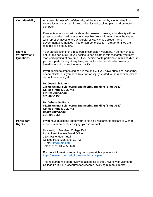| <b>Confidentiality</b>                                     | Any potential loss of confidentiality will be minimized by storing data in a<br>secure location such as: locked office, locked cabinet, password protected<br>computer.                                                                                                                                                                                                         |
|------------------------------------------------------------|---------------------------------------------------------------------------------------------------------------------------------------------------------------------------------------------------------------------------------------------------------------------------------------------------------------------------------------------------------------------------------|
|                                                            | If we write a report or article about this research project, your identity will be<br>protected to the maximum extent possible. Your information may be shared<br>with representatives of the University of Maryland, College Park or<br>governmental authorities if you or someone else is in danger or if we are<br>required to do so by law.                                 |
| <b>Right to</b><br><b>Withdraw and</b><br><b>Questions</b> | Your participation in this research is completely voluntary. You may choose<br>not to take part at all. If you decide to participate in this research, you may<br>stop participating at any time. If you decide not to participate in this study or if<br>you stop participating at any time, you will not be penalized or lose any<br>benefits to which you otherwise qualify. |
|                                                            | If you decide to stop taking part in the study, if you have questions, concerns,<br>or complaints, or if you need to report an injury related to the research, please<br>contact the investigator:                                                                                                                                                                              |
|                                                            | Dr. Jose-Luis Izursa<br>1457B Animal Science/Ag Engineering Building (Bldg. #142)<br>College Park, MD 20742<br>jlizursa@umd.edu<br>301-405-1195                                                                                                                                                                                                                                 |
|                                                            | Dr. Debasmita Patra<br>0512B Animal Science/Ag Engineering Building (Bldg. #142)<br>College Park, MD 20742<br>dpatra@umd.edu<br>301-405-7964                                                                                                                                                                                                                                    |
| <b>Participant</b><br><b>Rights</b>                        | If you have questions about your rights as a research participant or wish to<br>report a research-related injury, please contact:                                                                                                                                                                                                                                               |
|                                                            | University of Maryland College Park<br><b>Institutional Review Board Office</b><br>1204 Marie Mount Hall<br>College Park, Maryland, 20742<br>E-mail: irb@umd.edu<br>Telephone: 301-405-0678                                                                                                                                                                                     |
|                                                            | For more information regarding participant rights, please visit:<br>https://research.umd.edu/irb-research-participants                                                                                                                                                                                                                                                          |
|                                                            | This research has been reviewed according to the University of Maryland,<br>College Park IRB procedures for research involving human subjects.                                                                                                                                                                                                                                  |